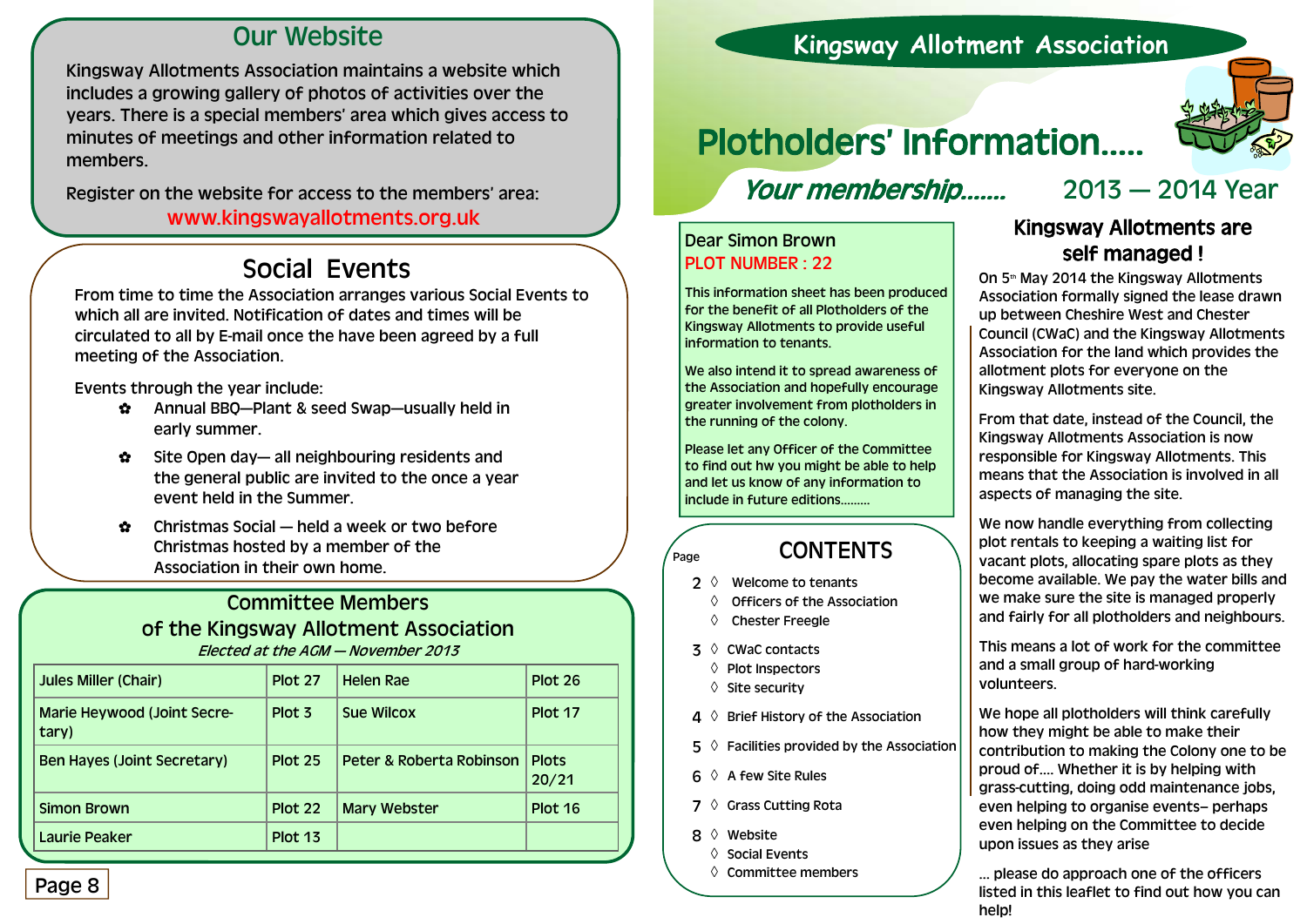## Our Website

Kingsway Allotments Association maintains a website which includes a growing gallery of photos of activities over the years. There is a special members' area which gives access to minutes of meetings and other information related to members.

Register on the website for access to the members' area: www.kingswayallotments.org.uk

## Social Events

From time to time the Association arranges various Social Events to which all are invited. Notification of dates and times will be circulated to all by E-mail once the have been agreed by a full meeting of the Association.

Events through the year include:

- \_ Annual BBQ—Plant & seed Swap—usually held in early summer.
- $\hat{\bm{x}}$  Site Open day— all neighbouring residents and the general public are invited to the once a year event held in the Summer.
- $\hat{\mathbf{x}}$  Christmas Social held a week or two before Christmas hosted by a member of the Association in their own home.

#### Committee Members of the Kingsway Allotment Association Elected at the AGM — November 2013

| <b>Jules Miller (Chair)</b>          | Plot 27        | <b>Helen Rae</b>         | Plot 26               |
|--------------------------------------|----------------|--------------------------|-----------------------|
| Marie Heywood (Joint Secre-<br>tary) | Plot 3         | <b>Sue Wilcox</b>        | Plot 17               |
| <b>Ben Hayes (Joint Secretary)</b>   | <b>Plot 25</b> | Peter & Roberta Robinson | <b>Plots</b><br>20/21 |
| <b>Simon Brown</b>                   | Plot 22        | <b>Mary Webster</b>      | Plot 16               |
| Laurie Peaker                        | Plot 13        |                          |                       |
|                                      |                |                          |                       |

#### Page 8

## **Kingsway Allotment Association**

# Plotholders' Information…..

## Your membership…….

#### Dear Simon Brown PLOT NUMBER : 22

This information sheet has been produced for the benefit of all Plotholders of the Kingsway Allotments to provide useful information to tenants.

We also intend it to spread awareness of the Association and hopefully encourage greater involvement from plotholders in the running of the colony.

Please let any Officer of the Committee to find out hw you might be able to help and let us know of any information to include in future editions……...

## $\gamma_{\text{page}}$  CONTENTS

- $2 \Diamond$  Welcome to tenants
	- $\Diamond$  Officers of the Association
	- $\Diamond$ Chester Freegle
- $3 \Diamond$  CWaC contacts
	- $\Diamond$  Plot Inspectors
	- $\Diamond$  Site security
- $4 \Diamond$  Brief History of the Association
- $5 \Diamond$  Facilities provided by the Association
- $6 \Diamond A$  few Site Rules
- $7 \Diamond$  Grass Cutting Rota
- 8 Website
	- $\Diamond$  Social Events
	- $\Diamond$  Committee members

## 2013 — 2014 Year Kingsway Allotments are

## self managed !

On 5<sup>th</sup> May 2014 the Kingsway Allotments Association formally signed the lease drawn up between Cheshire West and Chester Council (CWaC) and the Kingsway Allotments Association for the land which provides the allotment plots for everyone on the Kingsway Allotments site.

From that date, instead of the Council, the Kingsway Allotments Association is now responsible for Kingsway Allotments. This means that the Association is involved in all aspects of managing the site.

We now handle everything from collecting plot rentals to keeping a waiting list for vacant plots, allocating spare plots as they become available. We pay the water bills and we make sure the site is managed properly and fairly for all plotholders and neighbours.

This means a lot of work for the committee and a small group of hard-working volunteers.

We hope all plotholders will think carefully how they might be able to make their contribution to making the Colony one to be proud of…. Whether it is by helping with grass-cutting, doing odd maintenance jobs, even helping to organise events– perhaps even helping on the Committee to decide upon issues as they arise

m prease as appreasments on the criticals.<br>listed in this leaflet to find out how you can … please do approach one of the officers help!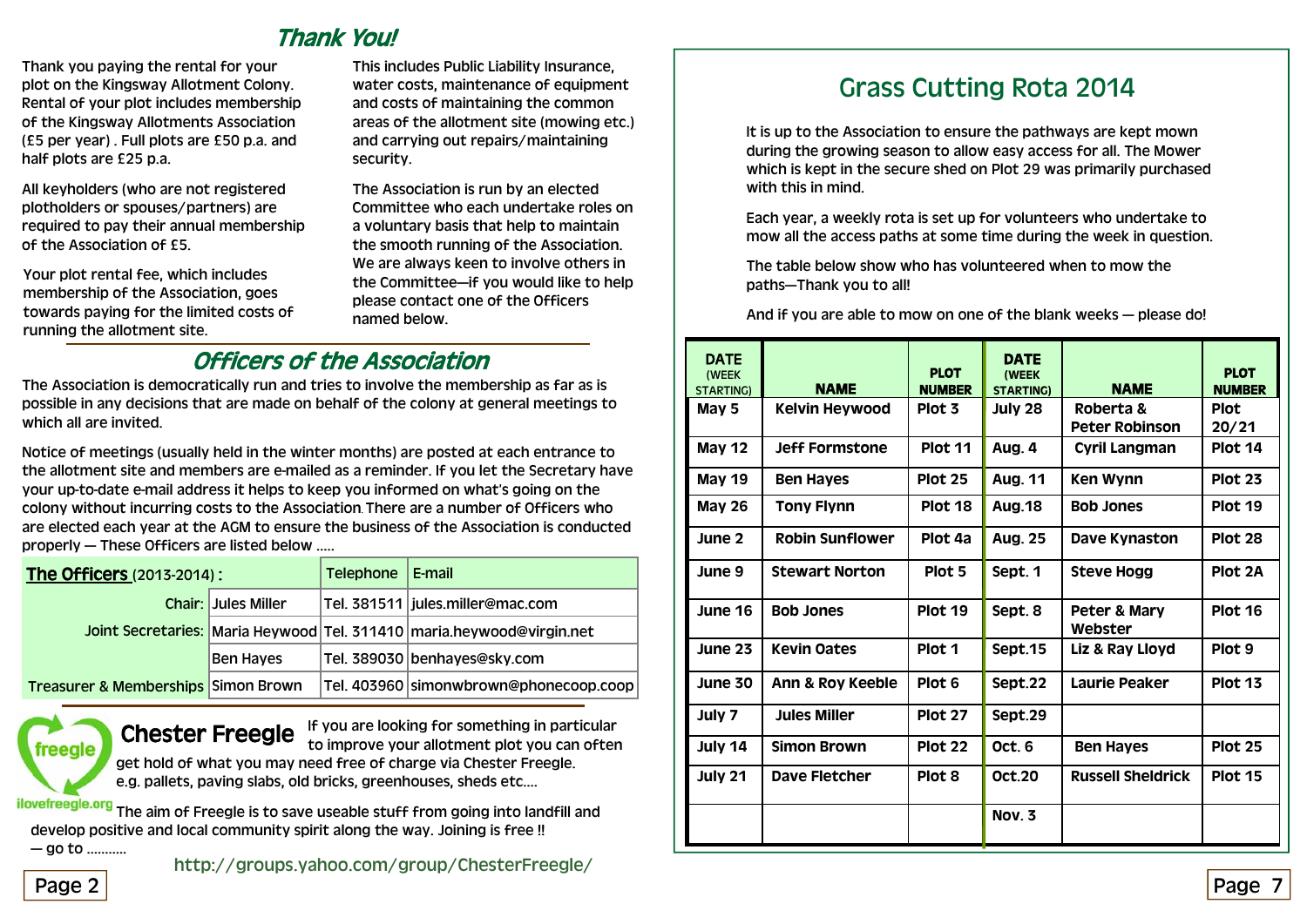## Thank You!

Thank you paying the rental for your plot on the Kingsway Allotment Colony. Rental of your plot includes membership of the Kingsway Allotments Association (£5 per year) . Full plots are £50 p.a. and half plots are £25 p.a.

All keyholders (who are not registered plotholders or spouses/partners) are required to pay their annual membership of the Association of £5.

Your plot rental fee, which includes membership of the Association, goes towards paying for the limited costs of running the allotment site.

This includes Public Liability Insurance, water costs, maintenance of equipment and costs of maintaining the common areas of the allotment site (mowing etc.) and carrying out repairs/maintaining security.

The Association is run by an elected Committee who each undertake roles on a voluntary basis that help to maintain the smooth running of the Association. We are always keen to involve others in the Committee—if you would like to help please contact one of the Officers named below.

## Officers of the Association

The Association is democratically run and tries to involve the membership as far as is possible in any decisions that are made on behalf of the colony at general meetings to which all are invited.

Notice of meetings (usually held in the winter months) are posted at each entrance to the allotment site and members are e-mailed as a reminder. If you let the Secretary have your up-to-date e-mail address it helps to keep you informed on what's going on the colony without incurring costs to the Association. There are a number of Officers who are elected each year at the AGM to ensure the business of the Association is conducted properly — These Officers are listed below …..

| <b>The Officers</b> (2013-2014): |                                                | <b>Telephone</b>           | $E$ -mail |                                                                       |
|----------------------------------|------------------------------------------------|----------------------------|-----------|-----------------------------------------------------------------------|
|                                  |                                                | <b>Chair: Jules Miller</b> |           | Tel. 381511 jules.miller@mac.com                                      |
|                                  |                                                |                            |           | Joint Secretaries: Maria Heywood Tel. 311410 maria.heywood@virgin.net |
|                                  |                                                | <b>Ben Hayes</b>           |           | Tel. 389030 benhayes@sky.com                                          |
|                                  | <b>Treasurer &amp; Memberships Simon Brown</b> |                            |           | Tel. 403960 simonwbrown@phonecoop.coop                                |

If you are looking for something in particular to improve your allotment plot you can often get hold of what you may need free of charge via Chester Freegle. e.g. pallets, paving slabs, old bricks, greenhouses, sheds etc…. Chester Freegle

ilovefreegle.org <sub>The aim of Freegle is to save useable stuff from going into landfill and</sub> develop positive and local community spirit along the way. Joining is free !!

— go to ………..

http://groups.yahoo.com/group/ChesterFreegle/

## Grass Cutting Rota 2014

It is up to the Association to ensure the pathways are kept mown during the growing season to allow easy access for all. The Mower which is kept in the secure shed on Plot 29 was primarily purchased with this in mind.

Each year, a weekly rota is set up for volunteers who undertake to mow all the access paths at some time during the week in question.

The table below show who has volunteered when to mow the paths—Thank you to all!

And if you are able to mow on one of the blank weeks — please do!

| <b>DATE</b><br>(WEEK<br><b>STARTING)</b> | <b>NAME</b>                 | <b>PLOT</b><br><b>NUMBER</b> | <b>DATE</b><br>(WEEK<br><b>STARTING)</b> | <b>NAME</b>                        | <b>PLOT</b><br><b>NUMBER</b> |
|------------------------------------------|-----------------------------|------------------------------|------------------------------------------|------------------------------------|------------------------------|
| May 5                                    | <b>Kelvin Heywood</b>       | Plot 3                       | July 28                                  | Roberta &<br><b>Peter Robinson</b> | <b>Plot</b><br>20/21         |
| <b>May 12</b>                            | <b>Jeff Formstone</b>       | Plot 11                      | <b>Aug. 4</b>                            | Cyril Langman                      | Plot 14                      |
| <b>May 19</b>                            | <b>Ben Hayes</b>            | <b>Plot 25</b>               | <b>Aug. 11</b>                           | <b>Ken Wynn</b>                    | Plot 23                      |
| <b>May 26</b>                            | <b>Tony Flynn</b>           | Plot 18                      | <b>Aug.18</b>                            | <b>Bob Jones</b>                   | Plot 19                      |
| June 2                                   | <b>Robin Sunflower</b>      | Plot 4a                      | <b>Aug. 25</b>                           | Dave Kynaston                      | Plot 28                      |
| June 9                                   | <b>Stewart Norton</b>       | Plot <sub>5</sub>            | Sept. 1                                  | <b>Steve Hogg</b>                  | Plot 2A                      |
| June 16                                  | <b>Bob Jones</b>            | Plot 19                      | Sept. 8                                  | Peter & Mary<br>Webster            | Plot 16                      |
| June 23                                  | <b>Kevin Oates</b>          | Plot 1                       | Sept.15                                  | Liz & Ray Lloyd                    | Plot <sub>9</sub>            |
| June 30                                  | <b>Ann &amp; Roy Keeble</b> | Plot <sub>6</sub>            | Sept.22                                  | Laurie Peaker                      | Plot 13                      |
| July 7                                   | <b>Jules Miller</b>         | Plot 27                      | Sept.29                                  |                                    |                              |
| July 14                                  | <b>Simon Brown</b>          | Plot 22                      | Oct.6                                    | <b>Ben Hayes</b>                   | <b>Plot 25</b>               |
| July 21                                  | Dave Fletcher               | Plot 8                       | <b>Oct.20</b>                            | <b>Russell Sheldrick</b>           | <b>Plot 15</b>               |
|                                          |                             |                              | <b>Nov. 3</b>                            |                                    |                              |

Page 2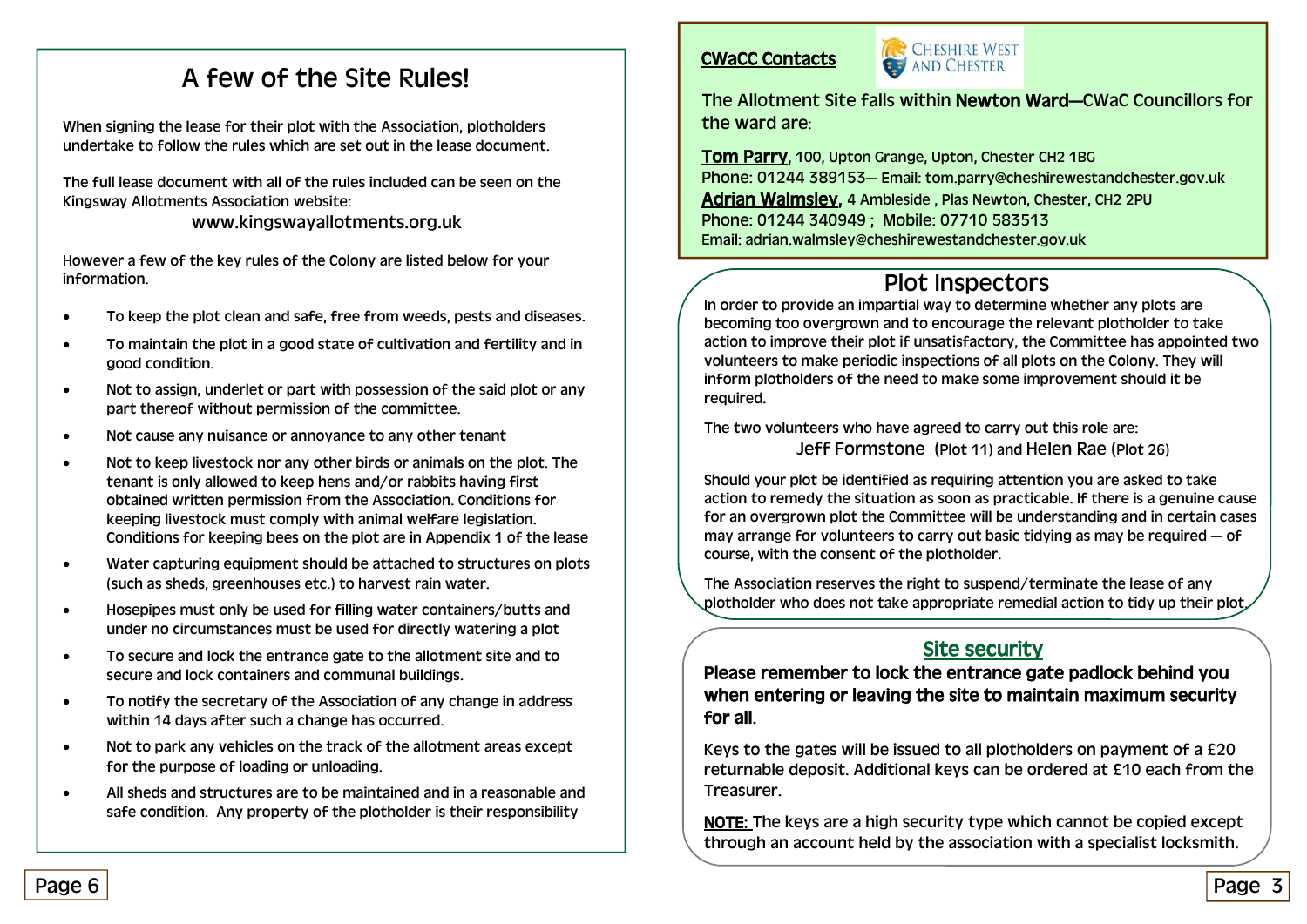## A few of the Site Rules!

When signing the lease for their plot with the Association, plotholders undertake to follow the rules which are set out in the lease document.

The full lease document with all of the rules included can be seen on the Kingsway Allotments Association website:

#### www.kingswayallotments.org.uk

However a few of the key rules of the Colony are listed below for your information.

- $\bullet$ To keep the plot clean and safe, free from weeds, pests and diseases.
- $\bullet$  To maintain the plot in a good state of cultivation and fertility and in good condition.
- $\bullet$  Not to assign, underlet or part with possession of the said plot or any part thereof without permission of the committee.
- $\bullet$ Not cause any nuisance or annoyance to any other tenant
- $\bullet$  Not to keep livestock nor any other birds or animals on the plot. The tenant is only allowed to keep hens and/or rabbits having first obtained written permission from the Association. Conditions for keeping livestock must comply with animal welfare legislation. Conditions for keeping bees on the plot are in Appendix 1 of the lease
- $\bullet$  Water capturing equipment should be attached to structures on plots (such as sheds, greenhouses etc.) to harvest rain water.
- $\bullet$  Hosepipes must only be used for filling water containers/butts and under no circumstances must be used for directly watering a plot
- $\bullet$  To secure and lock the entrance gate to the allotment site and to secure and lock containers and communal buildings.
- $\bullet$  To notify the secretary of the Association of any change in address within 14 days after such a change has occurred.
- $\bullet$  Not to park any vehicles on the track of the allotment areas except for the purpose of loading or unloading.
- $\bullet$  All sheds and structures are to be maintained and in a reasonable and safe condition. Any property of the plotholder is their responsibility

#### CWaCC Contacts



The Allotment Site falls within Newton Ward—CWaC Councillors for the ward are:

Tom Parry, 100, Upton Grange, Upton, Chester CH2 1BG Phone: 01244 389153— Email: tom.parry@cheshirewestandchester.gov.uk Adrian Walmsley, 4 Ambleside , Plas Newton, Chester, CH2 2PU Phone: 01244 340949 ; Mobile: 07710 583513 Email: adrian.walmsley@cheshirewestandchester.gov.uk

## Plot Inspectors

In order to provide an impartial way to determine whether any plots are becoming too overgrown and to encourage the relevant plotholder to take action to improve their plot if unsatisfactory, the Committee has appointed two volunteers to make periodic inspections of all plots on the Colony. They will inform plotholders of the need to make some improvement should it be required.

The two volunteers who have agreed to carry out this role are: Jeff Formstone (Plot 11) and Helen Rae (Plot 26)

Should your plot be identified as requiring attention you are asked to take action to remedy the situation as soon as practicable. If there is a genuine cause for an overgrown plot the Committee will be understanding and in certain cases may arrange for volunteers to carry out basic tidying as may be required — of course, with the consent of the plotholder.

The Association reserves the right to suspend/terminate the lease of any plotholder who does not take appropriate remedial action to tidy up their plot.

## Site security

Please remember to lock the entrance gate padlock behind you when entering or leaving the site to maintain maximum security for all.

Keys to the gates will be issued to all plotholders on payment of a £20 returnable deposit. Additional keys can be ordered at £10 each from the Treasurer.

NOTE: The keys are a high security type which cannot be copied except through an account held by the association with a specialist locksmith.